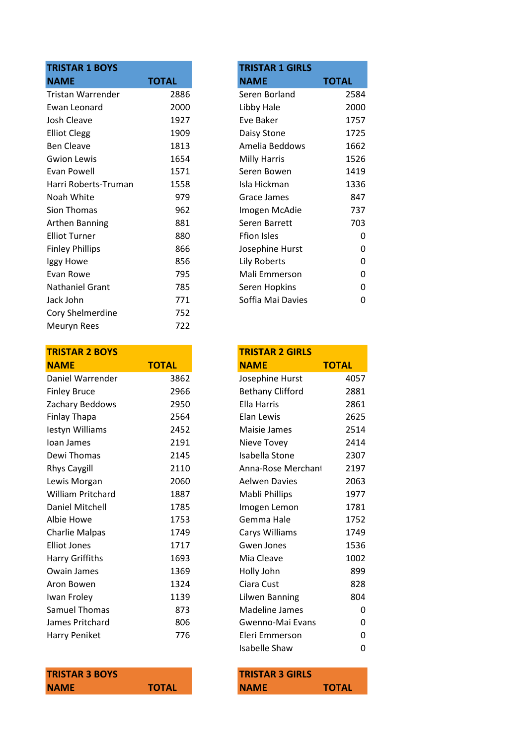| <b>TRISTAR 1 BOYS</b>    |              | <b>TRISTAR 1 GIRLS</b> |              |
|--------------------------|--------------|------------------------|--------------|
| <b>NAME</b>              | <b>TOTAL</b> | <b>NAME</b>            | <b>TOTAL</b> |
| <b>Tristan Warrender</b> | 2886         | Seren Borland          | 2584         |
| Ewan Leonard             | 2000         | Libby Hale             | 2000         |
| Josh Cleave              | 1927         | Eve Baker              | 1757         |
| <b>Elliot Clegg</b>      | 1909         | Daisy Stone            | 1725         |
| <b>Ben Cleave</b>        | 1813         | Amelia Beddows         | 1662         |
| <b>Gwion Lewis</b>       | 1654         | <b>Milly Harris</b>    | 1526         |
| Evan Powell              | 1571         | Seren Bowen            | 1419         |
| Harri Roberts-Truman     | 1558         | Isla Hickman           | 1336         |
| Noah White               | 979          | Grace James            | 847          |
| Sion Thomas              | 962          | Imogen McAdie          | 737          |
| <b>Arthen Banning</b>    | 881          | Seren Barrett          | 703          |
| <b>Elliot Turner</b>     | 880          | <b>Ffion Isles</b>     | 0            |
| <b>Finley Phillips</b>   | 866          | Josephine Hurst        | 0            |
| Iggy Howe                | 856          | Lily Roberts           | 0            |
| Evan Rowe                | 795          | Mali Emmerson          | 0            |
| Nathaniel Grant          | 785          | Seren Hopkins          | 0            |
| Jack John                | 771          | Soffia Mai Davies      | 0            |
| Cory Shelmerdine         | 752          |                        |              |
| Meuryn Rees              | 722          |                        |              |
|                          |              |                        |              |

| <b>TRISTAR 2 BOYS</b>    |              | <b>TRISTAR 2 GIRLS</b>  |              |
|--------------------------|--------------|-------------------------|--------------|
| <b>NAME</b>              | <b>TOTAL</b> | <b>NAME</b>             | <b>TOTAL</b> |
| Daniel Warrender         | 3862         | Josephine Hurst         | 4057         |
| <b>Finley Bruce</b>      | 2966         | <b>Bethany Clifford</b> | 2881         |
| Zachary Beddows          | 2950         | <b>Ella Harris</b>      | 2861         |
| <b>Finlay Thapa</b>      | 2564         | Elan Lewis              | 2625         |
| lestyn Williams          | 2452         | Maisie James            | 2514         |
| Ioan James               | 2191         | Nieve Tovey             | 2414         |
| Dewi Thomas              | 2145         | Isabella Stone          | 2307         |
| <b>Rhys Caygill</b>      | 2110         | Anna-Rose Merchant      | 2197         |
| Lewis Morgan             | 2060         | <b>Aelwen Davies</b>    | 2063         |
| <b>William Pritchard</b> | 1887         | Mabli Phillips          | 1977         |
| Daniel Mitchell          | 1785         | Imogen Lemon            | 1781         |
| Albie Howe               | 1753         | Gemma Hale              | 1752         |
| <b>Charlie Malpas</b>    | 1749         | Carys Williams          | 1749         |
| <b>Elliot Jones</b>      | 1717         | Gwen Jones              | 1536         |
| Harry Griffiths          | 1693         | Mia Cleave              | 1002         |
| Owain James              | 1369         | Holly John              | 899          |
| Aron Bowen               | 1324         | Ciara Cust              | 828          |
| Iwan Froley              | 1139         | Lilwen Banning          | 804          |
| Samuel Thomas            | 873          | Madeline James          | 0            |
| James Pritchard          | 806          | Gwenno-Mai Evans        | 0            |
| Harry Peniket            | 776          | Eleri Emmerson          | 0            |
|                          |              |                         |              |

| <b>TRISTAR 3 BOYS</b> |              | <b>TRISTAR 3 GIRLS</b> |              |
|-----------------------|--------------|------------------------|--------------|
| <b>NAME</b>           | <b>TOTAL</b> | <b>NAME</b>            | <b>TOTAL</b> |

| <b>TRISTAR 1 GIRLS</b> |       |
|------------------------|-------|
| NAME                   | TOTAL |
| Seren Borland          | 2584  |
| Libby Hale             | 2000  |
| Eve Baker              | 1757  |
| Daisy Stone            | 1725  |
| Amelia Beddows         | 1662  |
| Milly Harris           | 1526  |
| Seren Bowen            | 1419  |
| Isla Hickman           | 1336  |
| Grace James            | 847   |
| Imogen McAdie          | 737   |
| Seren Barrett          | 703   |
| Ffion Isles            | O     |
| Josephine Hurst        | ი     |
| Lily Roberts           | N     |
| Mali Emmerson          | N     |
| Seren Hopkins          | n     |
| Soffia Mai Davies      |       |

| <b>TRISTAR 2 GIRLS</b>  |              |
|-------------------------|--------------|
| <b>NAME</b>             | <b>TOTAL</b> |
| Josephine Hurst         | 4057         |
| <b>Bethany Clifford</b> | 2881         |
| Ella Harris             | 2861         |
| <b>Elan Lewis</b>       | 2625         |
| Maisie James            | 2514         |
| Nieve Tovey             | 2414         |
| Isabella Stone          | 2307         |
| Anna-Rose Merchant      | 2197         |
| Aelwen Davies           | 2063         |
| Mabli Phillips          | 1977         |
| Imogen Lemon            | 1781         |
| Gemma Hale              | 1752         |
| Carys Williams          | 1749         |
| Gwen Jones              | 1536         |
| Mia Cleave              | 1002         |
| Holly John              | 899          |
| Ciara Cust              | 828          |
| Lilwen Banning          | 804          |
| <b>Madeline James</b>   | 0            |
| Gwenno-Mai Evans        | 0            |
| Eleri Emmerson          | 0            |
| Isabelle Shaw           | 0            |

| <b>TRISTAR 3 GIRLS</b> |              |
|------------------------|--------------|
| <b>NAME</b>            | <b>TOTAL</b> |